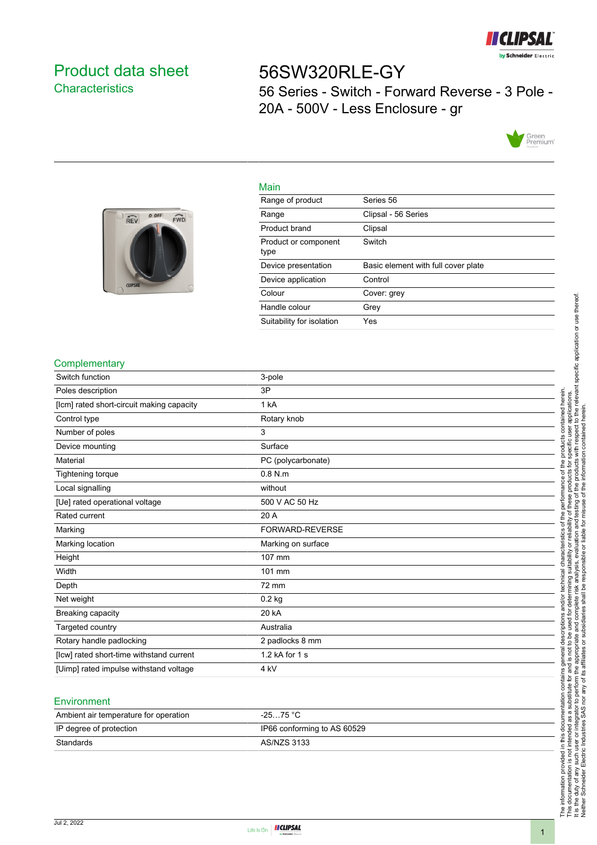

## <span id="page-0-0"></span>Product data sheet **Characteristics**

# 56SW320RLE-GY 56 Series - Switch - Forward Reverse - 3 Pole - 20A - 500V - Less Enclosure - gr



# 0 OFF  $FWD$  $\widehat{REV}$

| Main                         |                                     |
|------------------------------|-------------------------------------|
| Range of product             | Series 56                           |
| Range                        | Clipsal - 56 Series                 |
| Product brand                | Clipsal                             |
| Product or component<br>type | Switch                              |
| Device presentation          | Basic element with full cover plate |
| Device application           | Control                             |
| Colour                       | Cover: grey                         |
| Handle colour                | Grey                                |
| Suitability for isolation    | Yes                                 |

#### **Complementary**

| Switch function                           | 3-pole             |
|-------------------------------------------|--------------------|
| Poles description                         | 3P                 |
| [lcm] rated short-circuit making capacity | 1 kA               |
| Control type                              | Rotary knob        |
| Number of poles                           | 3                  |
| Device mounting                           | Surface            |
| Material                                  | PC (polycarbonate) |
| Tightening torque                         | $0.8$ N.m          |
| Local signalling                          | without            |
| [Ue] rated operational voltage            | 500 V AC 50 Hz     |
| Rated current                             | 20 A               |
| Marking                                   | FORWARD-REVERSE    |
| Marking location                          | Marking on surface |
| Height                                    | 107 mm             |
| Width                                     | 101 mm             |
| Depth                                     | 72 mm              |
| Net weight                                | $0.2$ kg           |
| Breaking capacity                         | 20 kA              |
| Targeted country                          | Australia          |
| Rotary handle padlocking                  | 2 padlocks 8 mm    |
| [Icw] rated short-time withstand current  | 1.2 kA for 1 s     |
| [Uimp] rated impulse withstand voltage    | 4 kV               |
|                                           |                    |

#### Environment

| Ambient air temperature for operation | -25…75 °C                   |
|---------------------------------------|-----------------------------|
| IP degree of protection               | IP66 conforming to AS 60529 |
| Standards                             | AS/NZS 3133                 |